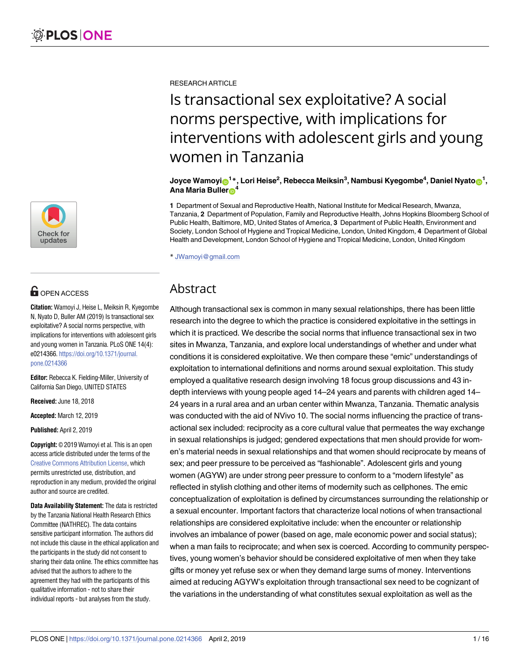

# **OPEN ACCESS**

**Citation:** Wamoyi J, Heise L, Meiksin R, Kyegombe N, Nyato D, Buller AM (2019) Is transactional sex exploitative? A social norms perspective, with implications for interventions with adolescent girls and young women in Tanzania. PLoS ONE 14(4): e0214366. [https://doi.org/10.1371/journal.](https://doi.org/10.1371/journal.pone.0214366) [pone.0214366](https://doi.org/10.1371/journal.pone.0214366)

**Editor:** Rebecca K. Fielding-Miller, University of California San Diego, UNITED STATES

**Received:** June 18, 2018

**Accepted:** March 12, 2019

**Published:** April 2, 2019

**Copyright:** © 2019 Wamoyi et al. This is an open access article distributed under the terms of the Creative Commons [Attribution](http://creativecommons.org/licenses/by/4.0/) License, which permits unrestricted use, distribution, and reproduction in any medium, provided the original author and source are credited.

**Data Availability Statement:** The data is restricted by the Tanzania National Health Research Ethics Committee (NATHREC). The data contains sensitive participant information. The authors did not include this clause in the ethical application and the participants in the study did not consent to sharing their data online. The ethics committee has advised that the authors to adhere to the agreement they had with the participants of this qualitative information - not to share their individual reports - but analyses from the study.

RESEARCH ARTICLE

# Is transactional sex exploitative? A social norms perspective, with implications for interventions with adolescent girls and young women in Tanzania

Joyce Wamoyi⋒<sup>1</sup>\*, Lori Heise<sup>2</sup>, Rebecca Meiksin<sup>3</sup>, Nambusi Kyegombe<sup>4</sup>, Daniel Nyato⋒<sup>1</sup>, **Ana Maria Buller**<sup>4</sup>

**1** Department of Sexual and Reproductive Health, National Institute for Medical Research, Mwanza, Tanzania, **2** Department of Population, Family and Reproductive Health, Johns Hopkins Bloomberg School of Public Health, Baltimore, MD, United States of America, **3** Department of Public Health, Environment and Society, London School of Hygiene and Tropical Medicine, London, United Kingdom, **4** Department of Global Health and Development, London School of Hygiene and Tropical Medicine, London, United Kingdom

\* JWamoyi@gmail.com

## Abstract

Although transactional sex is common in many sexual relationships, there has been little research into the degree to which the practice is considered exploitative in the settings in which it is practiced. We describe the social norms that influence transactional sex in two sites in Mwanza, Tanzania, and explore local understandings of whether and under what conditions it is considered exploitative. We then compare these "emic" understandings of exploitation to international definitions and norms around sexual exploitation. This study employed a qualitative research design involving 18 focus group discussions and 43 indepth interviews with young people aged 14–24 years and parents with children aged 14– 24 years in a rural area and an urban center within Mwanza, Tanzania. Thematic analysis was conducted with the aid of NVivo 10. The social norms influencing the practice of transactional sex included: reciprocity as a core cultural value that permeates the way exchange in sexual relationships is judged; gendered expectations that men should provide for women's material needs in sexual relationships and that women should reciprocate by means of sex; and peer pressure to be perceived as "fashionable". Adolescent girls and young women (AGYW) are under strong peer pressure to conform to a "modern lifestyle" as reflected in stylish clothing and other items of modernity such as cellphones. The emic conceptualization of exploitation is defined by circumstances surrounding the relationship or a sexual encounter. Important factors that characterize local notions of when transactional relationships are considered exploitative include: when the encounter or relationship involves an imbalance of power (based on age, male economic power and social status); when a man fails to reciprocate; and when sex is coerced. According to community perspectives, young women's behavior should be considered exploitative of men when they take gifts or money yet refuse sex or when they demand large sums of money. Interventions aimed at reducing AGYW's exploitation through transactional sex need to be cognizant of the variations in the understanding of what constitutes sexual exploitation as well as the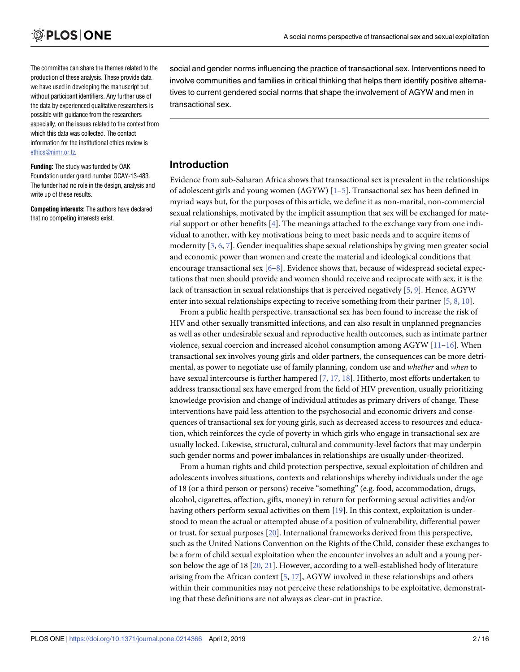<span id="page-1-0"></span>The committee can share the themes related to the production of these analysis. These provide data we have used in developing the manuscript but without participant identifiers. Any further use of the data by experienced qualitative researchers is possible with guidance from the researchers especially, on the issues related to the context from which this data was collected. The contact information for the institutional ethics review is [ethics@nimr.or.tz](mailto:ethics@nimr.or.tz).

**Funding:** The study was funded by OAK Foundation under grand number OCAY-13-483. The funder had no role in the design, analysis and write up of these results.

**Competing interests:** The authors have declared that no competing interests exist.

social and gender norms influencing the practice of transactional sex. Interventions need to involve communities and families in critical thinking that helps them identify positive alternatives to current gendered social norms that shape the involvement of AGYW and men in transactional sex.

## **Introduction**

Evidence from sub-Saharan Africa shows that transactional sex is prevalent in the relationships of adolescent girls and young women (AGYW) [[1](#page-13-0)[–5](#page-14-0)]. Transactional sex has been defined in myriad ways but, for the purposes of this article, we define it as non-marital, non-commercial sexual relationships, motivated by the implicit assumption that sex will be exchanged for material support or other benefits [[4\]](#page-14-0). The meanings attached to the exchange vary from one individual to another, with key motivations being to meet basic needs and to acquire items of modernity [[3,](#page-14-0) [6,](#page-14-0) [7\]](#page-14-0). Gender inequalities shape sexual relationships by giving men greater social and economic power than women and create the material and ideological conditions that encourage transactional sex [\[6–8](#page-14-0)]. Evidence shows that, because of widespread societal expectations that men should provide and women should receive and reciprocate with sex, it is the lack of transaction in sexual relationships that is perceived negatively [[5](#page-14-0), [9\]](#page-14-0). Hence, AGYW enter into sexual relationships expecting to receive something from their partner [\[5,](#page-14-0) [8](#page-14-0), [10](#page-14-0)].

From a public health perspective, transactional sex has been found to increase the risk of HIV and other sexually transmitted infections, and can also result in unplanned pregnancies as well as other undesirable sexual and reproductive health outcomes, such as intimate partner violence, sexual coercion and increased alcohol consumption among AGYW [\[11–16\]](#page-14-0). When transactional sex involves young girls and older partners, the consequences can be more detrimental, as power to negotiate use of family planning, condom use and *whether* and *when* to have sexual intercourse is further hampered [[7](#page-14-0), [17](#page-14-0), [18](#page-14-0)]. Hitherto, most efforts undertaken to address transactional sex have emerged from the field of HIV prevention, usually prioritizing knowledge provision and change of individual attitudes as primary drivers of change. These interventions have paid less attention to the psychosocial and economic drivers and consequences of transactional sex for young girls, such as decreased access to resources and education, which reinforces the cycle of poverty in which girls who engage in transactional sex are usually locked. Likewise, structural, cultural and community-level factors that may underpin such gender norms and power imbalances in relationships are usually under-theorized.

From a human rights and child protection perspective, sexual exploitation of children and adolescents involves situations, contexts and relationships whereby individuals under the age of 18 (or a third person or persons) receive "something" (e.g. food, accommodation, drugs, alcohol, cigarettes, affection, gifts, money) in return for performing sexual activities and/or having others perform sexual activities on them [\[19\]](#page-14-0). In this context, exploitation is understood to mean the actual or attempted abuse of a position of vulnerability, differential power or trust, for sexual purposes [\[20\]](#page-14-0). International frameworks derived from this perspective, such as the United Nations Convention on the Rights of the Child, consider these exchanges to be a form of child sexual exploitation when the encounter involves an adult and a young person below the age of 18 [[20](#page-14-0), [21](#page-14-0)]. However, according to a well-established body of literature arising from the African context [[5](#page-14-0), [17](#page-14-0)], AGYW involved in these relationships and others within their communities may not perceive these relationships to be exploitative, demonstrating that these definitions are not always as clear-cut in practice.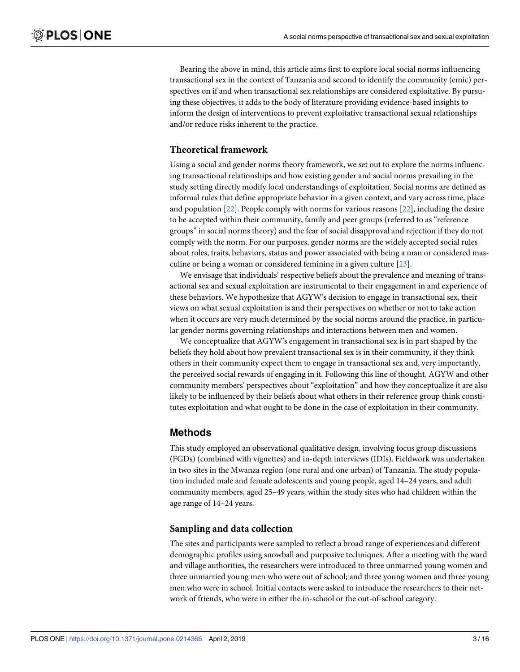<span id="page-2-0"></span>Bearing the above in mind, this article aims first to explore local social norms influencing transactional sex in the context of Tanzania and second to identify the community (emic) perspectives on if and when transactional sex relationships are considered exploitative. By pursuing these objectives, it adds to the body of literature providing evidence-based insights to inform the design of interventions to prevent exploitative transactional sexual relationships and/or reduce risks inherent to the practice.

### **Theoretical framework**

Using a social and gender norms theory framework, we set out to explore the norms influencing transactional relationships and how existing gender and social norms prevailing in the study setting directly modify local understandings of exploitation. Social norms are defined as informal rules that define appropriate behavior in a given context, and vary across time, place and population [[22](#page-14-0)]. People comply with norms for various reasons [\[22\]](#page-14-0), including the desire to be accepted within their community, family and peer groups (referred to as "reference groups" in social norms theory) and the fear of social disapproval and rejection if they do not comply with the norm. For our purposes, gender norms are the widely accepted social rules about roles, traits, behaviors, status and power associated with being a man or considered masculine or being a woman or considered feminine in a given culture [\[23\]](#page-14-0).

We envisage that individuals' respective beliefs about the prevalence and meaning of transactional sex and sexual exploitation are instrumental to their engagement in and experience of these behaviors. We hypothesize that AGYW's decision to engage in transactional sex, their views on what sexual exploitation is and their perspectives on whether or not to take action when it occurs are very much determined by the social norms around the practice, in particular gender norms governing relationships and interactions between men and women.

We conceptualize that AGYW's engagement in transactional sex is in part shaped by the beliefs they hold about how prevalent transactional sex is in their community, if they think others in their community expect them to engage in transactional sex and, very importantly, the perceived social rewards of engaging in it. Following this line of thought, AGYW and other community members' perspectives about "exploitation" and how they conceptualize it are also likely to be influenced by their beliefs about what others in their reference group think constitutes exploitation and what ought to be done in the case of exploitation in their community.

## **Methods**

This study employed an observational qualitative design, involving focus group discussions (FGDs) (combined with vignettes) and in-depth interviews (IDIs). Fieldwork was undertaken in two sites in the Mwanza region (one rural and one urban) of Tanzania. The study population included male and female adolescents and young people, aged 14–24 years, and adult community members, aged 25–49 years, within the study sites who had children within the age range of 14–24 years.

#### **Sampling and data collection**

The sites and participants were sampled to reflect a broad range of experiences and different demographic profiles using snowball and purposive techniques. After a meeting with the ward and village authorities, the researchers were introduced to three unmarried young women and three unmarried young men who were out of school; and three young women and three young men who were in school. Initial contacts were asked to introduce the researchers to their network of friends, who were in either the in-school or the out-of-school category.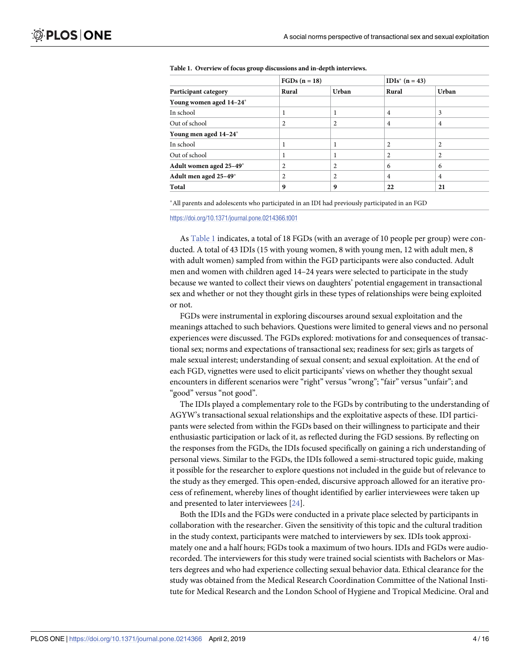| Participant category    | $FGDs (n = 18)$ |                | $IDIs^* (n = 43)$ |                |
|-------------------------|-----------------|----------------|-------------------|----------------|
|                         | Rural           | Urban          | Rural             | Urban          |
| Young women aged 14-24* |                 |                |                   |                |
| In school               |                 |                | $\overline{4}$    | 3              |
| Out of school           | 2               | 2              | 4                 | 4              |
| Young men aged 14-24*   |                 |                |                   |                |
| In school               |                 |                | $\overline{c}$    | 2              |
| Out of school           |                 |                |                   |                |
| Adult women aged 25-49* | 2               | 2              | 6                 | 6              |
| Adult men aged 25-49*   | 2               | $\overline{c}$ | $\overline{4}$    | $\overline{4}$ |
| Total                   | 9               | 9              | 22                | 21             |

<span id="page-3-0"></span>

|  |  |  |  |  | Table 1. Overview of focus group discussions and in-depth interviews. |  |
|--|--|--|--|--|-----------------------------------------------------------------------|--|
|--|--|--|--|--|-----------------------------------------------------------------------|--|

�All parents and adolescents who participated in an IDI had previously participated in an FGD

<https://doi.org/10.1371/journal.pone.0214366.t001>

As Table 1 indicates, a total of 18 FGDs (with an average of 10 people per group) were conducted. A total of 43 IDIs (15 with young women, 8 with young men, 12 with adult men, 8 with adult women) sampled from within the FGD participants were also conducted. Adult men and women with children aged 14–24 years were selected to participate in the study because we wanted to collect their views on daughters' potential engagement in transactional sex and whether or not they thought girls in these types of relationships were being exploited or not.

FGDs were instrumental in exploring discourses around sexual exploitation and the meanings attached to such behaviors. Questions were limited to general views and no personal experiences were discussed. The FGDs explored: motivations for and consequences of transactional sex; norms and expectations of transactional sex; readiness for sex; girls as targets of male sexual interest; understanding of sexual consent; and sexual exploitation. At the end of each FGD, vignettes were used to elicit participants' views on whether they thought sexual encounters in different scenarios were "right" versus "wrong"; "fair" versus "unfair"; and "good" versus "not good".

The IDIs played a complementary role to the FGDs by contributing to the understanding of AGYW's transactional sexual relationships and the exploitative aspects of these. IDI participants were selected from within the FGDs based on their willingness to participate and their enthusiastic participation or lack of it, as reflected during the FGD sessions. By reflecting on the responses from the FGDs, the IDIs focused specifically on gaining a rich understanding of personal views. Similar to the FGDs, the IDIs followed a semi-structured topic guide, making it possible for the researcher to explore questions not included in the guide but of relevance to the study as they emerged. This open-ended, discursive approach allowed for an iterative process of refinement, whereby lines of thought identified by earlier interviewees were taken up and presented to later interviewees [[24](#page-14-0)].

Both the IDIs and the FGDs were conducted in a private place selected by participants in collaboration with the researcher. Given the sensitivity of this topic and the cultural tradition in the study context, participants were matched to interviewers by sex. IDIs took approximately one and a half hours; FGDs took a maximum of two hours. IDIs and FGDs were audiorecorded. The interviewers for this study were trained social scientists with Bachelors or Masters degrees and who had experience collecting sexual behavior data. Ethical clearance for the study was obtained from the Medical Research Coordination Committee of the National Institute for Medical Research and the London School of Hygiene and Tropical Medicine. Oral and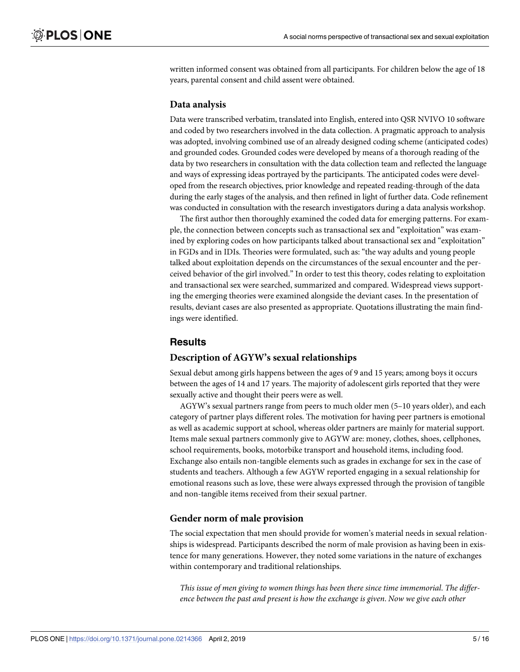written informed consent was obtained from all participants. For children below the age of 18 years, parental consent and child assent were obtained.

#### **Data analysis**

Data were transcribed verbatim, translated into English, entered into QSR NVIVO 10 software and coded by two researchers involved in the data collection. A pragmatic approach to analysis was adopted, involving combined use of an already designed coding scheme (anticipated codes) and grounded codes. Grounded codes were developed by means of a thorough reading of the data by two researchers in consultation with the data collection team and reflected the language and ways of expressing ideas portrayed by the participants. The anticipated codes were developed from the research objectives, prior knowledge and repeated reading-through of the data during the early stages of the analysis, and then refined in light of further data. Code refinement was conducted in consultation with the research investigators during a data analysis workshop.

The first author then thoroughly examined the coded data for emerging patterns. For example, the connection between concepts such as transactional sex and "exploitation" was examined by exploring codes on how participants talked about transactional sex and "exploitation" in FGDs and in IDIs. Theories were formulated, such as: "the way adults and young people talked about exploitation depends on the circumstances of the sexual encounter and the perceived behavior of the girl involved." In order to test this theory, codes relating to exploitation and transactional sex were searched, summarized and compared. Widespread views supporting the emerging theories were examined alongside the deviant cases. In the presentation of results, deviant cases are also presented as appropriate. Quotations illustrating the main findings were identified.

## **Results**

#### **Description of AGYW's sexual relationships**

Sexual debut among girls happens between the ages of 9 and 15 years; among boys it occurs between the ages of 14 and 17 years. The majority of adolescent girls reported that they were sexually active and thought their peers were as well.

AGYW's sexual partners range from peers to much older men (5–10 years older), and each category of partner plays different roles. The motivation for having peer partners is emotional as well as academic support at school, whereas older partners are mainly for material support. Items male sexual partners commonly give to AGYW are: money, clothes, shoes, cellphones, school requirements, books, motorbike transport and household items, including food. Exchange also entails non-tangible elements such as grades in exchange for sex in the case of students and teachers. Although a few AGYW reported engaging in a sexual relationship for emotional reasons such as love, these were always expressed through the provision of tangible and non-tangible items received from their sexual partner.

#### **Gender norm of male provision**

The social expectation that men should provide for women's material needs in sexual relationships is widespread. Participants described the norm of male provision as having been in existence for many generations. However, they noted some variations in the nature of exchanges within contemporary and traditional relationships.

*This issue of men giving to women things has been there since time immemorial*. *The difference between the past and present is how the exchange is given*. *Now we give each other*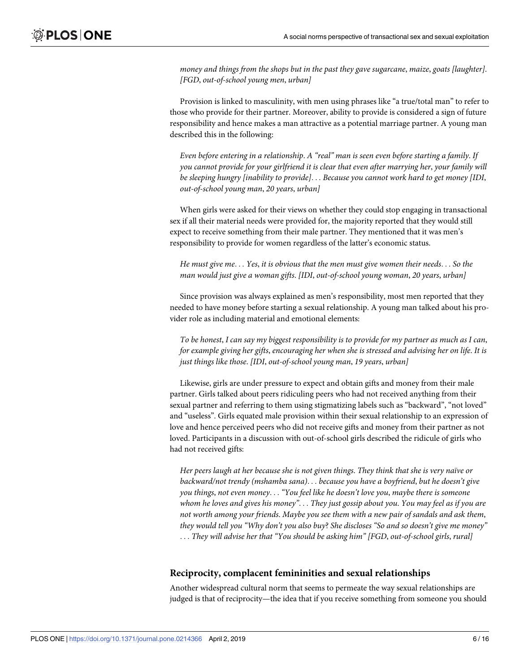*money and things from the shops but in the past they gave sugarcane*, *maize*, *goats [laughter]*. *[FGD*, *out-of-school young men*, *urban]*

Provision is linked to masculinity, with men using phrases like "a true/total man" to refer to those who provide for their partner. Moreover, ability to provide is considered a sign of future responsibility and hence makes a man attractive as a potential marriage partner. A young man described this in the following:

*Even before entering in a relationship*. *A "real" man is seen even before starting a family*. *If you cannot provide for your girlfriend it is clear that even after marrying her*, *your family will be sleeping hungry [inability to provide]*. . . *Because you cannot work hard to get money [IDI*, *out-of-school young man*, *20 years*, *urban]*

When girls were asked for their views on whether they could stop engaging in transactional sex if all their material needs were provided for, the majority reported that they would still expect to receive something from their male partner. They mentioned that it was men's responsibility to provide for women regardless of the latter's economic status.

*He must give me*. . . *Yes*, *it is obvious that the men must give women their needs*. . . *So the man would just give a woman gifts*. *[IDI*, *out-of-school young woman*, *20 years*, *urban]*

Since provision was always explained as men's responsibility, most men reported that they needed to have money before starting a sexual relationship. A young man talked about his provider role as including material and emotional elements:

To be honest, I can say my biggest responsibility is to provide for my partner as much as I can, *for example giving her gifts*, *encouraging her when she is stressed and advising her on life*. *It is just things like those*. *[IDI*, *out-of-school young man*, *19 years*, *urban]*

Likewise, girls are under pressure to expect and obtain gifts and money from their male partner. Girls talked about peers ridiculing peers who had not received anything from their sexual partner and referring to them using stigmatizing labels such as "backward", "not loved" and "useless". Girls equated male provision within their sexual relationship to an expression of love and hence perceived peers who did not receive gifts and money from their partner as not loved. Participants in a discussion with out-of-school girls described the ridicule of girls who had not received gifts:

Her peers laugh at her because she is not given things. They think that she is very naïve or *backward/not trendy (mshamba sana)*. . . *because you have a boyfriend*, *but he doesn't give you things*, *not even money*. . . *"You feel like he doesn't love you*, *maybe there is someone* whom he loves and gives his money"... They just gossip about you. You may feel as if you are *not worth among your friends*. *Maybe you see them with a new pair of sandals and ask them*, *they would tell you "Why don't you also buy*? *She discloses "So and so doesn't give me money"* . . . *They will advise her that "You should be asking him" [FGD*, *out-of-school girls*, *rural]*

#### **Reciprocity, complacent femininities and sexual relationships**

Another widespread cultural norm that seems to permeate the way sexual relationships are judged is that of reciprocity—the idea that if you receive something from someone you should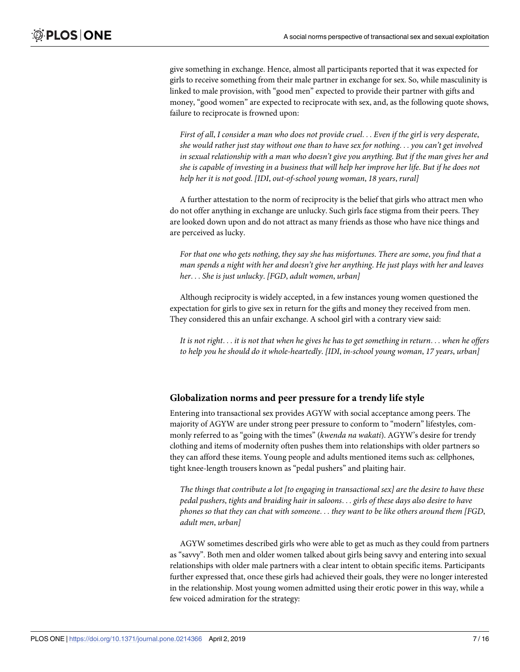give something in exchange. Hence, almost all participants reported that it was expected for girls to receive something from their male partner in exchange for sex. So, while masculinity is linked to male provision, with "good men" expected to provide their partner with gifts and money, "good women" are expected to reciprocate with sex, and, as the following quote shows, failure to reciprocate is frowned upon:

First of all, I consider a man who does not provide cruel... Even if the girl is very desperate, *she would rather just stay without one than to have sex for nothing*. . . *you can't get involved in sexual relationship with a man who doesn't give you anything*. *But if the man gives her and* she is capable of investing in a business that will help her improve her life. But if he does not *help her it is not good*. *[IDI*, *out-of-school young woman*, *18 years*, *rural]*

A further attestation to the norm of reciprocity is the belief that girls who attract men who do not offer anything in exchange are unlucky. Such girls face stigma from their peers. They are looked down upon and do not attract as many friends as those who have nice things and are perceived as lucky.

*For that one who gets nothing*, *they say she has misfortunes*. *There are some*, *you find that a man spends a night with her and doesn't give her anything*. *He just plays with her and leaves her*. . . *She is just unlucky*. *[FGD*, *adult women*, *urban]*

Although reciprocity is widely accepted, in a few instances young women questioned the expectation for girls to give sex in return for the gifts and money they received from men. They considered this an unfair exchange. A school girl with a contrary view said:

It is not right... it is not that when he gives he has to get something in return... when he offers *to help you he should do it whole-heartedly*. *[IDI*, *in-school young woman*, *17 years*, *urban]*

#### **Globalization norms and peer pressure for a trendy life style**

Entering into transactional sex provides AGYW with social acceptance among peers. The majority of AGYW are under strong peer pressure to conform to "modern" lifestyles, commonly referred to as "going with the times" (*kwenda na wakati*). AGYW's desire for trendy clothing and items of modernity often pushes them into relationships with older partners so they can afford these items. Young people and adults mentioned items such as: cellphones, tight knee-length trousers known as "pedal pushers" and plaiting hair.

*The things that contribute a lot [to engaging in transactional sex] are the desire to have these pedal pushers*, *tights and braiding hair in saloons*. . . *girls of these days also desire to have phones so that they can chat with someone*. . . *they want to be like others around them [FGD*, *adult men*, *urban]*

AGYW sometimes described girls who were able to get as much as they could from partners as "savvy". Both men and older women talked about girls being savvy and entering into sexual relationships with older male partners with a clear intent to obtain specific items. Participants further expressed that, once these girls had achieved their goals, they were no longer interested in the relationship. Most young women admitted using their erotic power in this way, while a few voiced admiration for the strategy: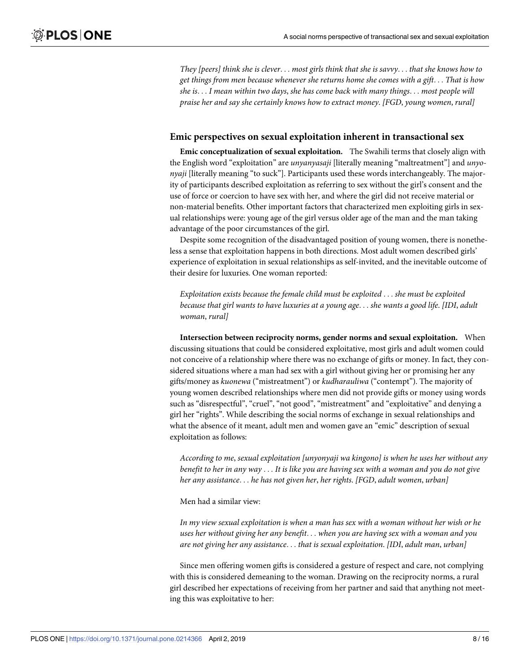They [peers] think she is clever... most girls think that she is savvy... that she knows how to *get things from men because whenever she returns home she comes with a gift*. . . *That is how she is*. . . *I mean within two days*, *she has come back with many things*. . . *most people will praise her and say she certainly knows how to extract money*. *[FGD*, *young women*, *rural]*

#### **Emic perspectives on sexual exploitation inherent in transactional sex**

**Emic conceptualization of sexual exploitation.** The Swahili terms that closely align with the English word "exploitation" are *unyanyasaji* [literally meaning "maltreatment"] and *unyonyaji* [literally meaning "to suck"]. Participants used these words interchangeably. The majority of participants described exploitation as referring to sex without the girl's consent and the use of force or coercion to have sex with her, and where the girl did not receive material or non-material benefits. Other important factors that characterized men exploiting girls in sexual relationships were: young age of the girl versus older age of the man and the man taking advantage of the poor circumstances of the girl.

Despite some recognition of the disadvantaged position of young women, there is nonetheless a sense that exploitation happens in both directions. Most adult women described girls' experience of exploitation in sexual relationships as self-invited, and the inevitable outcome of their desire for luxuries. One woman reported:

*Exploitation exists because the female child must be exploited* . . . *she must be exploited because that girl wants to have luxuries at a young age*. . . *she wants a good life*. *[IDI*, *adult woman*, *rural]*

**Intersection between reciprocity norms, gender norms and sexual exploitation.** When discussing situations that could be considered exploitative, most girls and adult women could not conceive of a relationship where there was no exchange of gifts or money. In fact, they considered situations where a man had sex with a girl without giving her or promising her any gifts/money as *kuonewa* ("mistreatment") or *kudharauliwa* ("contempt"). The majority of young women described relationships where men did not provide gifts or money using words such as "disrespectful", "cruel", "not good", "mistreatment" and "exploitative" and denying a girl her "rights". While describing the social norms of exchange in sexual relationships and what the absence of it meant, adult men and women gave an "emic" description of sexual exploitation as follows:

*According to me*, *sexual exploitation [unyonyaji wa kingono] is when he uses her without any* benefit to her in any way . . . It is like you are having sex with a woman and you do not give *her any assistance*. . . *he has not given her*, *her rights*. *[FGD*, *adult women*, *urban]*

Men had a similar view:

*In my view sexual exploitation is when a man has sex with a woman without her wish or he uses her without giving her any benefit*. . . *when you are having sex with a woman and you are not giving her any assistance*. . . *that is sexual exploitation*. *[IDI*, *adult man*, *urban]*

Since men offering women gifts is considered a gesture of respect and care, not complying with this is considered demeaning to the woman. Drawing on the reciprocity norms, a rural girl described her expectations of receiving from her partner and said that anything not meeting this was exploitative to her: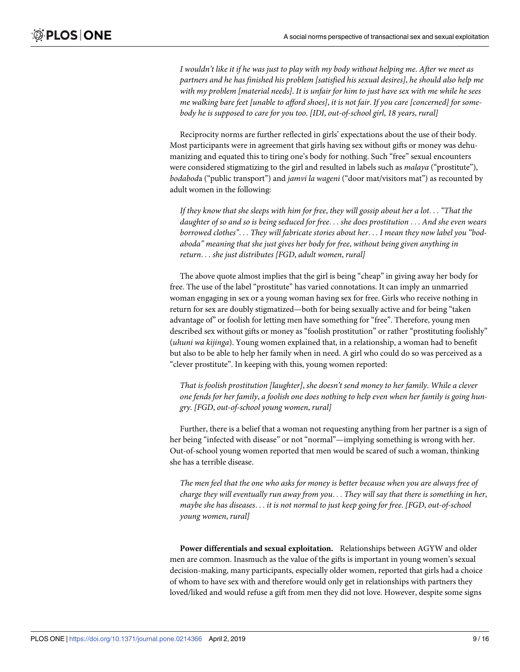I wouldn't like it if he was just to play with my body without helping me. After we meet as *partners and he has finished his problem [satisfied his sexual desires]*, *he should also help me* with my problem [material needs]. It is unfair for him to just have sex with me while he sees *me walking bare feet [unable to afford shoes]*, *it is not fair*. *If you care [concerned] for somebody he is supposed to care for you too*. *[IDI*, *out-of-school girl*, *18 years*, *rural]*

Reciprocity norms are further reflected in girls' expectations about the use of their body. Most participants were in agreement that girls having sex without gifts or money was dehumanizing and equated this to tiring one's body for nothing. Such "free" sexual encounters were considered stigmatizing to the girl and resulted in labels such as *malaya* ("prostitute"), *bodabod*a ("public transport") and *jamvi la wageni* ("door mat/visitors mat") as recounted by adult women in the following:

If they know that she sleeps with him for free, they will gossip about her a lot... "That the *daughter of so and so is being seduced for free*. . . *she does prostitution* . . . *And she even wears borrowed clothes"*. . . *They will fabricate stories about her*. . . *I mean they now label you "bodaboda" meaning that she just gives her body for free*, *without being given anything in return*. . . *she just distributes [FGD*, *adult women*, *rural]*

The above quote almost implies that the girl is being "cheap" in giving away her body for free. The use of the label "prostitute" has varied connotations. It can imply an unmarried woman engaging in sex or a young woman having sex for free. Girls who receive nothing in return for sex are doubly stigmatized—both for being sexually active and for being "taken advantage of" or foolish for letting men have something for "free". Therefore, young men described sex without gifts or money as "foolish prostitution" or rather "prostituting foolishly" (*uhuni wa kijinga*). Young women explained that, in a relationship, a woman had to benefit but also to be able to help her family when in need. A girl who could do so was perceived as a "clever prostitute". In keeping with this, young women reported:

*That is foolish prostitution [laughter]*, *she doesn't send money to her family*. *While a clever* one fends for her family, a foolish one does nothing to help even when her family is going hun*gry*. *[FGD*, *out-of-school young women*, *rural]*

Further, there is a belief that a woman not requesting anything from her partner is a sign of her being "infected with disease" or not "normal"—implying something is wrong with her. Out-of-school young women reported that men would be scared of such a woman, thinking she has a terrible disease.

*The men feel that the one who asks for money is better because when you are always free of charge they will eventually run away from you*. . . *They will say that there is something in her*, *maybe she has diseases*. . . *it is not normal to just keep going for free*. *[FGD*, *out-of-school young women*, *rural]*

**Power differentials and sexual exploitation.** Relationships between AGYW and older men are common. Inasmuch as the value of the gifts is important in young women's sexual decision-making, many participants, especially older women, reported that girls had a choice of whom to have sex with and therefore would only get in relationships with partners they loved/liked and would refuse a gift from men they did not love. However, despite some signs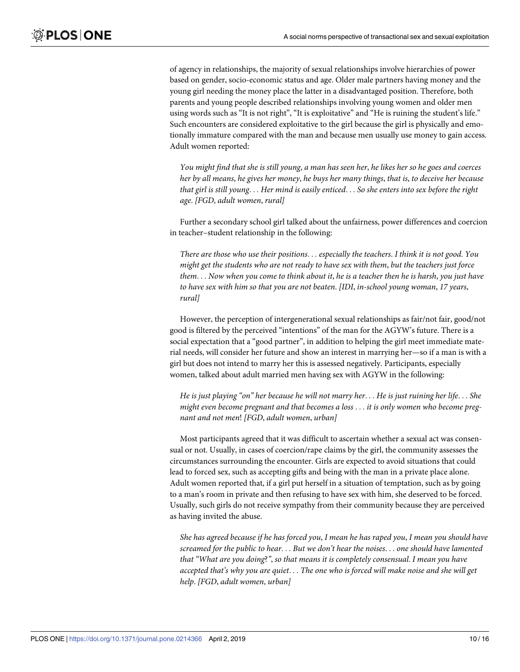of agency in relationships, the majority of sexual relationships involve hierarchies of power based on gender, socio-economic status and age. Older male partners having money and the young girl needing the money place the latter in a disadvantaged position. Therefore, both parents and young people described relationships involving young women and older men using words such as "It is not right", "It is exploitative" and "He is ruining the student's life." Such encounters are considered exploitative to the girl because the girl is physically and emotionally immature compared with the man and because men usually use money to gain access. Adult women reported:

You might find that she is still young, a man has seen her, he likes her so he goes and coerces her by all means, he gives her money, he buys her many things, that is, to deceive her because that girl is still young... Her mind is easily enticed... So she enters into sex before the right *age*. *[FGD*, *adult women*, *rural]*

Further a secondary school girl talked about the unfairness, power differences and coercion in teacher–student relationship in the following:

*There are those who use their positions*. . . *especially the teachers*. *I think it is not good*. *You might get the students who are not ready to have sex with them*, *but the teachers just force* them... Now when you come to think about it, he is a teacher then he is harsh, you just have *to have sex with him so that you are not beaten*. *[IDI*, *in-school young woman*, *17 years*, *rural]*

However, the perception of intergenerational sexual relationships as fair/not fair, good/not good is filtered by the perceived "intentions" of the man for the AGYW's future. There is a social expectation that a "good partner", in addition to helping the girl meet immediate material needs, will consider her future and show an interest in marrying her—so if a man is with a girl but does not intend to marry her this is assessed negatively. Participants, especially women, talked about adult married men having sex with AGYW in the following:

He is just playing "on" her because he will not marry her... He is just ruining her life... She *might even become pregnant and that becomes a loss* . . . *it is only women who become pregnant and not men*! *[FGD*, *adult women*, *urban]*

Most participants agreed that it was difficult to ascertain whether a sexual act was consensual or not. Usually, in cases of coercion/rape claims by the girl, the community assesses the circumstances surrounding the encounter. Girls are expected to avoid situations that could lead to forced sex, such as accepting gifts and being with the man in a private place alone. Adult women reported that, if a girl put herself in a situation of temptation, such as by going to a man's room in private and then refusing to have sex with him, she deserved to be forced. Usually, such girls do not receive sympathy from their community because they are perceived as having invited the abuse.

She has agreed because if he has forced you, I mean he has raped you, I mean you should have *screamed for the public to hear*. . . *But we don't hear the noises*. . . *one should have lamented that "What are you doing*?*"*, *so that means it is completely consensual*. *I mean you have accepted that's why you are quiet*. . . *The one who is forced will make noise and she will get help*. *[FGD*, *adult women*, *urban]*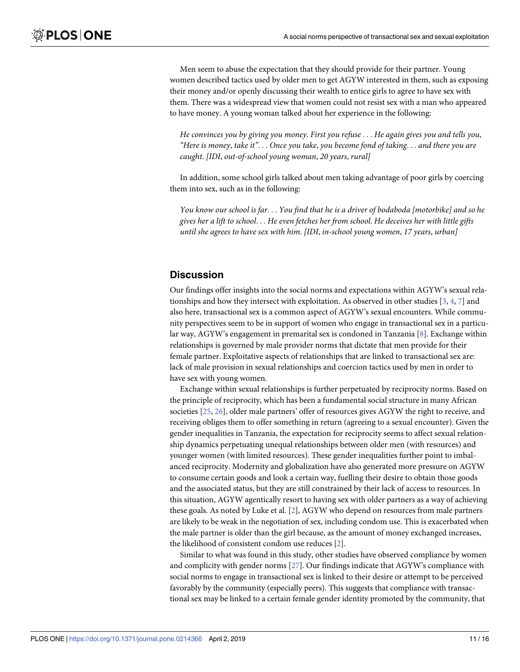<span id="page-10-0"></span>Men seem to abuse the expectation that they should provide for their partner. Young women described tactics used by older men to get AGYW interested in them, such as exposing their money and/or openly discussing their wealth to entice girls to agree to have sex with them. There was a widespread view that women could not resist sex with a man who appeared to have money. A young woman talked about her experience in the following:

*He convinces you by giving you money*. *First you refuse* . . . *He again gives you and tells you*, *"Here is money*, *take it"*. . . *Once you take*, *you become fond of taking*. . . *and there you are caught*. *[IDI*, *out-of-school young woman*, *20 years*, *rural]*

In addition, some school girls talked about men taking advantage of poor girls by coercing them into sex, such as in the following:

You know our school is far... You find that he is a driver of bodaboda [motorbike] and so he *gives her a lift to school*. . . *He even fetches her from school*. *He deceives her with little gifts until she agrees to have sex with him*. *[IDI*, *in-school young women*, *17 years*, *urban]*

## **Discussion**

Our findings offer insights into the social norms and expectations within AGYW's sexual relationships and how they intersect with exploitation. As observed in other studies [[3,](#page-14-0) [4,](#page-14-0) [7](#page-14-0)] and also here, transactional sex is a common aspect of AGYW's sexual encounters. While community perspectives seem to be in support of women who engage in transactional sex in a particular way, AGYW's engagement in premarital sex is condoned in Tanzania [\[8](#page-14-0)]. Exchange within relationships is governed by male provider norms that dictate that men provide for their female partner. Exploitative aspects of relationships that are linked to transactional sex are: lack of male provision in sexual relationships and coercion tactics used by men in order to have sex with young women.

Exchange within sexual relationships is further perpetuated by reciprocity norms. Based on the principle of reciprocity, which has been a fundamental social structure in many African societies [[25](#page-15-0), [26](#page-15-0)], older male partners' offer of resources gives AGYW the right to receive, and receiving obliges them to offer something in return (agreeing to a sexual encounter). Given the gender inequalities in Tanzania, the expectation for reciprocity seems to affect sexual relationship dynamics perpetuating unequal relationships between older men (with resources) and younger women (with limited resources). These gender inequalities further point to imbalanced reciprocity. Modernity and globalization have also generated more pressure on AGYW to consume certain goods and look a certain way, fuelling their desire to obtain those goods and the associated status, but they are still constrained by their lack of access to resources. In this situation, AGYW agentically resort to having sex with older partners as a way of achieving these goals. As noted by Luke et al. [\[2\]](#page-14-0), AGYW who depend on resources from male partners are likely to be weak in the negotiation of sex, including condom use. This is exacerbated when the male partner is older than the girl because, as the amount of money exchanged increases, the likelihood of consistent condom use reduces [[2\]](#page-14-0).

Similar to what was found in this study, other studies have observed compliance by women and complicity with gender norms [\[27\]](#page-15-0). Our findings indicate that AGYW's compliance with social norms to engage in transactional sex is linked to their desire or attempt to be perceived favorably by the community (especially peers). This suggests that compliance with transactional sex may be linked to a certain female gender identity promoted by the community, that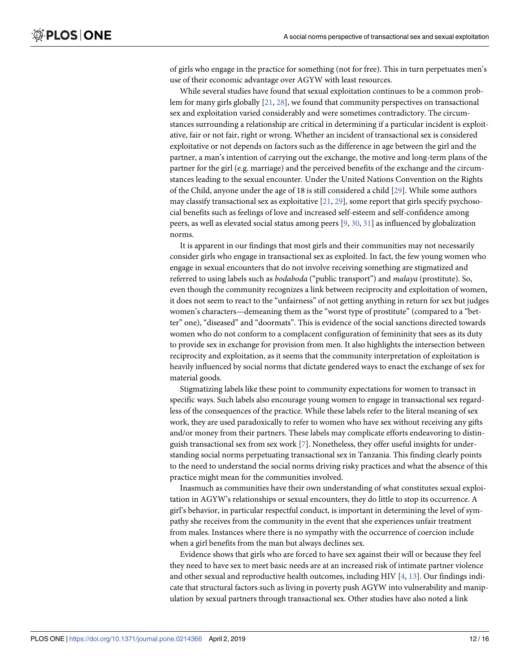<span id="page-11-0"></span>of girls who engage in the practice for something (not for free). This in turn perpetuates men's use of their economic advantage over AGYW with least resources.

While several studies have found that sexual exploitation continues to be a common problem for many girls globally  $[21, 28]$  $[21, 28]$  $[21, 28]$  $[21, 28]$  $[21, 28]$ , we found that community perspectives on transactional sex and exploitation varied considerably and were sometimes contradictory. The circumstances surrounding a relationship are critical in determining if a particular incident is exploitative, fair or not fair, right or wrong. Whether an incident of transactional sex is considered exploitative or not depends on factors such as the difference in age between the girl and the partner, a man's intention of carrying out the exchange, the motive and long-term plans of the partner for the girl (e.g. marriage) and the perceived benefits of the exchange and the circumstances leading to the sexual encounter. Under the United Nations Convention on the Rights of the Child, anyone under the age of 18 is still considered a child [\[29\]](#page-15-0). While some authors may classify transactional sex as exploitative  $[21, 29]$  $[21, 29]$  $[21, 29]$ , some report that girls specify psychosocial benefits such as feelings of love and increased self-esteem and self-confidence among peers, as well as elevated social status among peers [[9](#page-14-0), [30](#page-15-0), [31](#page-15-0)] as influenced by globalization norms.

It is apparent in our findings that most girls and their communities may not necessarily consider girls who engage in transactional sex as exploited. In fact, the few young women who engage in sexual encounters that do not involve receiving something are stigmatized and referred to using labels such as *bodaboda* ("public transport") and *malaya* (prostitute). So, even though the community recognizes a link between reciprocity and exploitation of women, it does not seem to react to the "unfairness" of not getting anything in return for sex but judges women's characters—demeaning them as the "worst type of prostitute" (compared to a "better" one), "diseased" and "doormats". This is evidence of the social sanctions directed towards women who do not conform to a complacent configuration of femininity that sees as its duty to provide sex in exchange for provision from men. It also highlights the intersection between reciprocity and exploitation, as it seems that the community interpretation of exploitation is heavily influenced by social norms that dictate gendered ways to enact the exchange of sex for material goods.

Stigmatizing labels like these point to community expectations for women to transact in specific ways. Such labels also encourage young women to engage in transactional sex regardless of the consequences of the practice. While these labels refer to the literal meaning of sex work, they are used paradoxically to refer to women who have sex without receiving any gifts and/or money from their partners. These labels may complicate efforts endeavoring to distinguish transactional sex from sex work [\[7\]](#page-14-0). Nonetheless, they offer useful insights for understanding social norms perpetuating transactional sex in Tanzania. This finding clearly points to the need to understand the social norms driving risky practices and what the absence of this practice might mean for the communities involved.

Inasmuch as communities have their own understanding of what constitutes sexual exploitation in AGYW's relationships or sexual encounters, they do little to stop its occurrence. A girl's behavior, in particular respectful conduct, is important in determining the level of sympathy she receives from the community in the event that she experiences unfair treatment from males. Instances where there is no sympathy with the occurrence of coercion include when a girl benefits from the man but always declines sex.

Evidence shows that girls who are forced to have sex against their will or because they feel they need to have sex to meet basic needs are at an increased risk of intimate partner violence and other sexual and reproductive health outcomes, including HIV [\[4,](#page-14-0) [13\]](#page-14-0). Our findings indicate that structural factors such as living in poverty push AGYW into vulnerability and manipulation by sexual partners through transactional sex. Other studies have also noted a link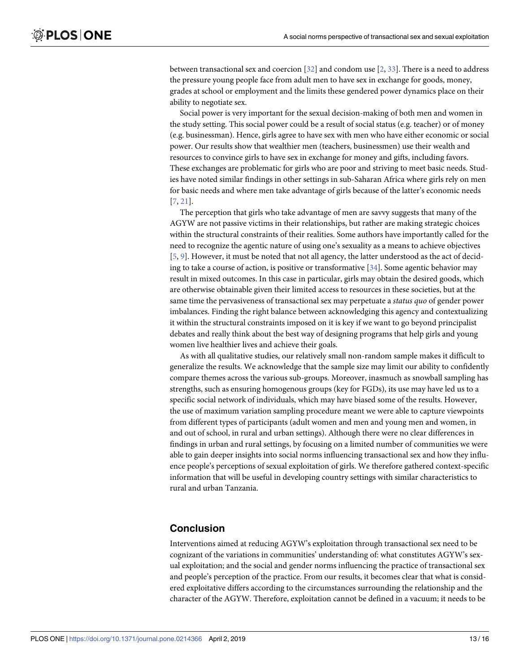<span id="page-12-0"></span>between transactional sex and coercion [\[32\]](#page-15-0) and condom use [\[2](#page-14-0), [33](#page-15-0)]. There is a need to address the pressure young people face from adult men to have sex in exchange for goods, money, grades at school or employment and the limits these gendered power dynamics place on their ability to negotiate sex.

Social power is very important for the sexual decision-making of both men and women in the study setting. This social power could be a result of social status (e.g. teacher) or of money (e.g. businessman). Hence, girls agree to have sex with men who have either economic or social power. Our results show that wealthier men (teachers, businessmen) use their wealth and resources to convince girls to have sex in exchange for money and gifts, including favors. These exchanges are problematic for girls who are poor and striving to meet basic needs. Studies have noted similar findings in other settings in sub-Saharan Africa where girls rely on men for basic needs and where men take advantage of girls because of the latter's economic needs [\[7](#page-14-0), [21](#page-14-0)].

The perception that girls who take advantage of men are savvy suggests that many of the AGYW are not passive victims in their relationships, but rather are making strategic choices within the structural constraints of their realities. Some authors have importantly called for the need to recognize the agentic nature of using one's sexuality as a means to achieve objectives [\[5](#page-14-0), [9](#page-14-0)]. However, it must be noted that not all agency, the latter understood as the act of deciding to take a course of action, is positive or transformative [\[34\]](#page-15-0). Some agentic behavior may result in mixed outcomes. In this case in particular, girls may obtain the desired goods, which are otherwise obtainable given their limited access to resources in these societies, but at the same time the pervasiveness of transactional sex may perpetuate a *status quo* of gender power imbalances. Finding the right balance between acknowledging this agency and contextualizing it within the structural constraints imposed on it is key if we want to go beyond principalist debates and really think about the best way of designing programs that help girls and young women live healthier lives and achieve their goals.

As with all qualitative studies, our relatively small non-random sample makes it difficult to generalize the results. We acknowledge that the sample size may limit our ability to confidently compare themes across the various sub-groups. Moreover, inasmuch as snowball sampling has strengths, such as ensuring homogenous groups (key for FGDs), its use may have led us to a specific social network of individuals, which may have biased some of the results. However, the use of maximum variation sampling procedure meant we were able to capture viewpoints from different types of participants (adult women and men and young men and women, in and out of school, in rural and urban settings). Although there were no clear differences in findings in urban and rural settings, by focusing on a limited number of communities we were able to gain deeper insights into social norms influencing transactional sex and how they influence people's perceptions of sexual exploitation of girls. We therefore gathered context-specific information that will be useful in developing country settings with similar characteristics to rural and urban Tanzania.

## **Conclusion**

Interventions aimed at reducing AGYW's exploitation through transactional sex need to be cognizant of the variations in communities' understanding of: what constitutes AGYW's sexual exploitation; and the social and gender norms influencing the practice of transactional sex and people's perception of the practice. From our results, it becomes clear that what is considered exploitative differs according to the circumstances surrounding the relationship and the character of the AGYW. Therefore, exploitation cannot be defined in a vacuum; it needs to be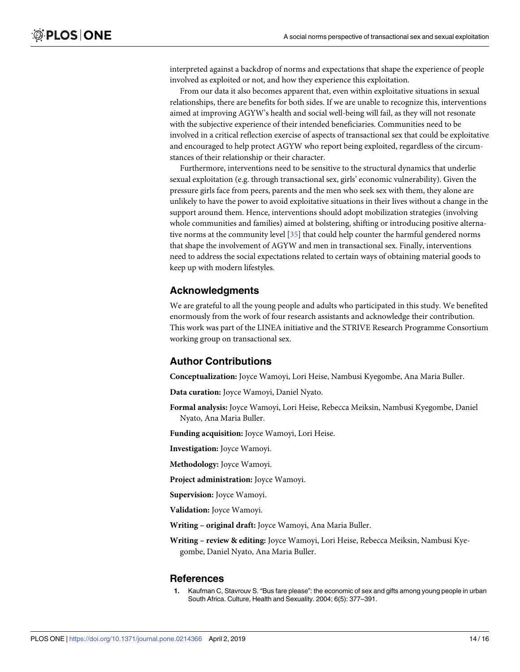<span id="page-13-0"></span>interpreted against a backdrop of norms and expectations that shape the experience of people involved as exploited or not, and how they experience this exploitation.

From our data it also becomes apparent that, even within exploitative situations in sexual relationships, there are benefits for both sides. If we are unable to recognize this, interventions aimed at improving AGYW's health and social well-being will fail, as they will not resonate with the subjective experience of their intended beneficiaries. Communities need to be involved in a critical reflection exercise of aspects of transactional sex that could be exploitative and encouraged to help protect AGYW who report being exploited, regardless of the circumstances of their relationship or their character.

Furthermore, interventions need to be sensitive to the structural dynamics that underlie sexual exploitation (e.g. through transactional sex, girls' economic vulnerability). Given the pressure girls face from peers, parents and the men who seek sex with them, they alone are unlikely to have the power to avoid exploitative situations in their lives without a change in the support around them. Hence, interventions should adopt mobilization strategies (involving whole communities and families) aimed at bolstering, shifting or introducing positive alternative norms at the community level [[35](#page-15-0)] that could help counter the harmful gendered norms that shape the involvement of AGYW and men in transactional sex. Finally, interventions need to address the social expectations related to certain ways of obtaining material goods to keep up with modern lifestyles.

## **Acknowledgments**

We are grateful to all the young people and adults who participated in this study. We benefited enormously from the work of four research assistants and acknowledge their contribution. This work was part of the LINEA initiative and the STRIVE Research Programme Consortium working group on transactional sex.

## **Author Contributions**

**Conceptualization:** Joyce Wamoyi, Lori Heise, Nambusi Kyegombe, Ana Maria Buller.

**Data curation:** Joyce Wamoyi, Daniel Nyato.

**Formal analysis:** Joyce Wamoyi, Lori Heise, Rebecca Meiksin, Nambusi Kyegombe, Daniel Nyato, Ana Maria Buller.

**Funding acquisition:** Joyce Wamoyi, Lori Heise.

**Investigation:** Joyce Wamoyi.

**Methodology:** Joyce Wamoyi.

**Project administration:** Joyce Wamoyi.

**Supervision:** Joyce Wamoyi.

**Validation:** Joyce Wamoyi.

**Writing – original draft:** Joyce Wamoyi, Ana Maria Buller.

**Writing – review & editing:** Joyce Wamoyi, Lori Heise, Rebecca Meiksin, Nambusi Kyegombe, Daniel Nyato, Ana Maria Buller.

#### **References**

**[1](#page-1-0).** Kaufman C, Stavrouv S. "Bus fare please": the economic of sex and gifts among young people in urban South Africa. Culture, Health and Sexuality. 2004; 6(5): 377–391.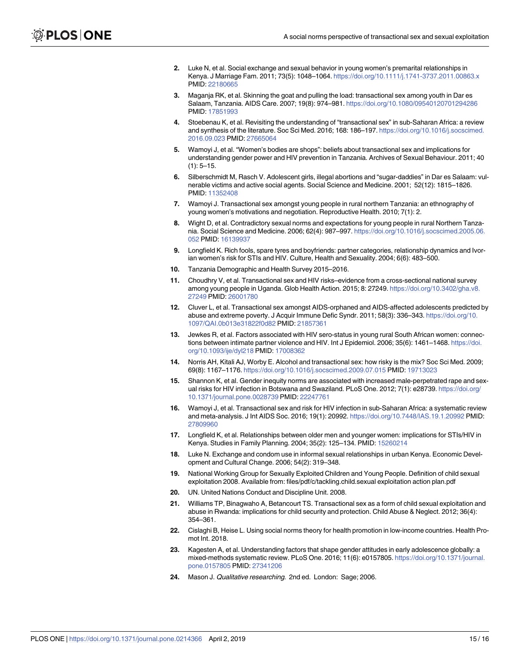- <span id="page-14-0"></span>**[2](#page-10-0).** Luke N, et al. Social exchange and sexual behavior in young women's premarital relationships in Kenya. J Marriage Fam. 2011; 73(5): 1048–1064. <https://doi.org/10.1111/j.1741-3737.2011.00863.x> PMID: [22180665](http://www.ncbi.nlm.nih.gov/pubmed/22180665)
- **[3](#page-1-0).** Maganja RK, et al. Skinning the goat and pulling the load: transactional sex among youth in Dar es Salaam, Tanzania. AIDS Care. 2007; 19(8): 974–981. <https://doi.org/10.1080/09540120701294286> PMID: [17851993](http://www.ncbi.nlm.nih.gov/pubmed/17851993)
- **[4](#page-1-0).** Stoebenau K, et al. Revisiting the understanding of "transactional sex" in sub-Saharan Africa: a review and synthesis of the literature. Soc Sci Med. 2016; 168: 186–197. [https://doi.org/10.1016/j.socscimed.](https://doi.org/10.1016/j.socscimed.2016.09.023) [2016.09.023](https://doi.org/10.1016/j.socscimed.2016.09.023) PMID: [27665064](http://www.ncbi.nlm.nih.gov/pubmed/27665064)
- **[5](#page-1-0).** Wamoyi J, et al. "Women's bodies are shops": beliefs about transactional sex and implications for understanding gender power and HIV prevention in Tanzania. Archives of Sexual Behaviour. 2011; 40  $(1): 5 - 15.$
- **[6](#page-1-0).** Silberschmidt M, Rasch V. Adolescent girls, illegal abortions and "sugar-daddies" in Dar es Salaam: vulnerable victims and active social agents. Social Science and Medicine. 2001; 52(12): 1815–1826. PMID: [11352408](http://www.ncbi.nlm.nih.gov/pubmed/11352408)
- **[7](#page-1-0).** Wamoyi J. Transactional sex amongst young people in rural northern Tanzania: an ethnography of young women's motivations and negotiation. Reproductive Health. 2010; 7(1): 2.
- **[8](#page-1-0).** Wight D, et al. Contradictory sexual norms and expectations for young people in rural Northern Tanzania. Social Science and Medicine. 2006; 62(4): 987–997. [https://doi.org/10.1016/j.socscimed.2005.06.](https://doi.org/10.1016/j.socscimed.2005.06.052) [052](https://doi.org/10.1016/j.socscimed.2005.06.052) PMID: [16139937](http://www.ncbi.nlm.nih.gov/pubmed/16139937)
- **[9](#page-1-0).** Longfield K. Rich fools, spare tyres and boyfriends: partner categories, relationship dynamics and Ivorian women's risk for STIs and HIV. Culture, Health and Sexuality. 2004; 6(6): 483–500.
- **[10](#page-1-0).** Tanzania Demographic and Health Survey 2015–2016.
- **[11](#page-1-0).** Choudhry V, et al. Transactional sex and HIV risks–evidence from a cross-sectional national survey among young people in Uganda. Glob Health Action. 2015; 8: 27249. [https://doi.org/10.3402/gha.v8.](https://doi.org/10.3402/gha.v8.27249) [27249](https://doi.org/10.3402/gha.v8.27249) PMID: [26001780](http://www.ncbi.nlm.nih.gov/pubmed/26001780)
- **12.** Cluver L, et al. Transactional sex amongst AIDS-orphaned and AIDS-affected adolescents predicted by abuse and extreme poverty. J Acquir Immune Defic Syndr. 2011; 58(3): 336–343. [https://doi.org/10.](https://doi.org/10.1097/QAI.0b013e31822f0d82) [1097/QAI.0b013e31822f0d82](https://doi.org/10.1097/QAI.0b013e31822f0d82) PMID: [21857361](http://www.ncbi.nlm.nih.gov/pubmed/21857361)
- **[13](#page-11-0).** Jewkes R, et al. Factors associated with HIV sero-status in young rural South African women: connections between intimate partner violence and HIV. Int J Epidemiol. 2006; 35(6): 1461–1468. [https://doi.](https://doi.org/10.1093/ije/dyl218) [org/10.1093/ije/dyl218](https://doi.org/10.1093/ije/dyl218) PMID: [17008362](http://www.ncbi.nlm.nih.gov/pubmed/17008362)
- **14.** Norris AH, Kitali AJ, Worby E. Alcohol and transactional sex: how risky is the mix? Soc Sci Med. 2009; 69(8): 1167–1176. <https://doi.org/10.1016/j.socscimed.2009.07.015> PMID: [19713023](http://www.ncbi.nlm.nih.gov/pubmed/19713023)
- **15.** Shannon K, et al. Gender inequity norms are associated with increased male-perpetrated rape and sexual risks for HIV infection in Botswana and Swaziland. PLoS One. 2012; 7(1): e28739. [https://doi.org/](https://doi.org/10.1371/journal.pone.0028739) [10.1371/journal.pone.0028739](https://doi.org/10.1371/journal.pone.0028739) PMID: [22247761](http://www.ncbi.nlm.nih.gov/pubmed/22247761)
- **[16](#page-1-0).** Wamoyi J, et al. Transactional sex and risk for HIV infection in sub-Saharan Africa: a systematic review and meta-analysis. J Int AIDS Soc. 2016; 19(1): 20992. <https://doi.org/10.7448/IAS.19.1.20992> PMID: [27809960](http://www.ncbi.nlm.nih.gov/pubmed/27809960)
- **[17](#page-1-0).** Longfield K, et al. Relationships between older men and younger women: implications for STIs/HIV in Kenya. Studies in Family Planning. 2004; 35(2): 125–134. PMID: [15260214](http://www.ncbi.nlm.nih.gov/pubmed/15260214)
- **[18](#page-1-0).** Luke N. Exchange and condom use in informal sexual relationships in urban Kenya. Economic Development and Cultural Change. 2006; 54(2): 319–348.
- **[19](#page-1-0).** National Working Group for Sexually Exploited Children and Young People. Definition of child sexual exploitation 2008. Available from: files/pdf/c/tackling.child.sexual exploitation action plan.pdf
- **[20](#page-1-0).** UN. United Nations Conduct and Discipline Unit. 2008.
- **[21](#page-1-0).** Williams TP, Binagwaho A, Betancourt TS. Transactional sex as a form of child sexual exploitation and abuse in Rwanda: implications for child security and protection. Child Abuse & Neglect. 2012; 36(4): 354–361.
- **[22](#page-2-0).** Cislaghi B, Heise L. Using social norms theory for health promotion in low-income countries. Health Promot Int. 2018.
- **[23](#page-2-0).** Kagesten A, et al. Understanding factors that shape gender attitudes in early adolescence globally: a mixed-methods systematic review. PLoS One. 2016; 11(6): e0157805. [https://doi.org/10.1371/journal.](https://doi.org/10.1371/journal.pone.0157805) [pone.0157805](https://doi.org/10.1371/journal.pone.0157805) PMID: [27341206](http://www.ncbi.nlm.nih.gov/pubmed/27341206)
- **[24](#page-3-0).** Mason J. Qualitative researching. 2nd ed. London: Sage; 2006.